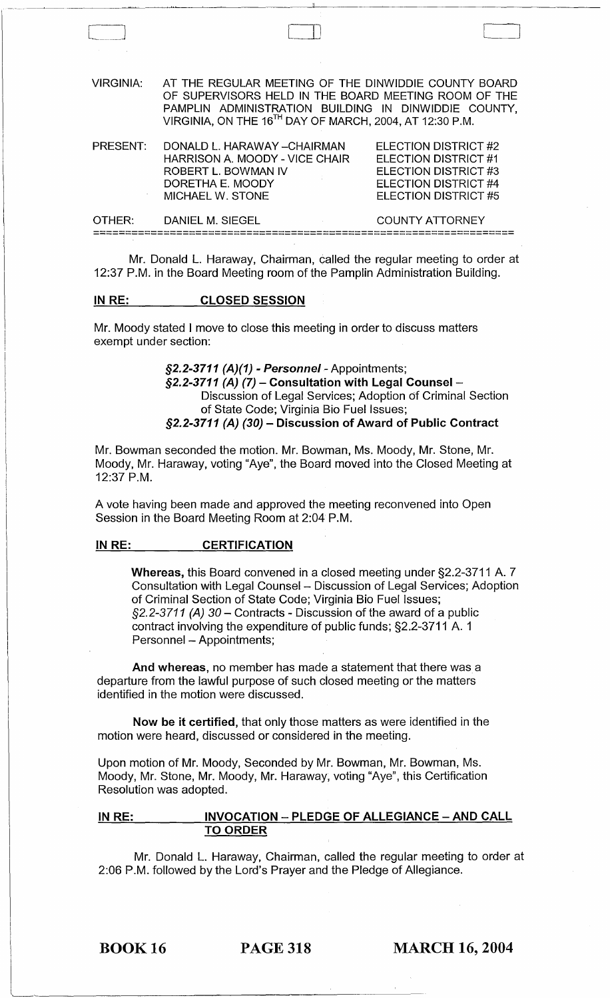VIRGINIA: AT THE REGULAR MEETING OF THE DINWIDDIE COUNTY BOARD OF SUPERVISORS HELD IN THE BOARD MEETING ROOM OF THE PAMPLIN ADMINISTRATION BUILDING IN DINWIDDIE COUNTY, VIRGINIA, ON THE 16<sup>TH</sup> DAY OF MARCH, 2004, AT 12:30 P.M. PRESENT: DONALD L. HARAWAY - CHAIRMAN HARRISON A. MOODY - VICE CHAIR ROBERT L. BOWMAN IV ELECTION DISTRICT #2 ELECTION DISTRICT #1 ELECTION DISTRICT #3 ELECTION DISTRICT #4 DORETHA E. MOODY

LlJ J

ELECTION DISTRICT #5

OTHER: DANIEL M. SIEGEL COUNTY ATTORNEY ==================================================================

Mr. Donald L. Haraway, Chairman, called the regular meeting to order at 12:37 P.M. in the Board Meeting room of the Pamplin Administration Building.

#### IN RE: CLOSED SESSION

MICHAEL W. STONE

Mr. Moody stated I move to close this meeting in order to discuss matters exempt under section:

> §2.2-3711 (A)(1) - Personnel - Appointments; §2.2-3711 (A) (7) - Consultation with Legal Counsel -Discussion of Legal Services; Adoption of Criminal Section of State Code; Virginia Bio Fuel Issues;  $$2.2-3711$  (A) (30) - Discussion of Award of Public Contract

Mr. Bowman seconded the motion. Mr. Bowman, Ms. Moody, Mr. Stone, Mr. Moody, Mr. Haraway, voting "Aye", the Board moved into the Closed Meeting at 12:37 P.M.

A vote having been made and approved the meeting reconvened into Open Session in the Board Meeting Room at 2:04 P.M.

#### IN RE: CERTIFICATION

Whereas, this Board convened in a closed meeting under §2.2-3711 A. 7 Consultation with Legal Counsel - Discussion of Legal Services; Adoption of Criminal Section of State Code; Virginia Bio Fuel Issues;  $\S$ 2.2-3711 (A) 30 – Contracts - Discussion of the award of a public contract involving the expenditure of public funds; §2.2-3711 A. 1 Personnel - Appointments;

And whereas, no member has made a statement that there was a departure from the lawful purpose of such closed meeting or the matters identified in the motion were discussed.

Now be it certified, that only those matters as were identified in the motion were heard, discussed or considered in the meeting.

Upon motion of Mr. Moody, Seconded by Mr. Bowman, Mr. Bowman, Ms. Moody, Mr. Stone, Mr. Moody, Mr. Haraway, voting "Aye", this Certification Resolution was adopted.

#### IN RE: INVOCATION - PLEDGE OF ALLEGIANCE - AND CALL TO ORDER

Mr. Donald L. Haraway, Chairman, called the regular meeting to order at 2:06 P.M. followed by the Lord's Prayer and the Pledge of Allegiance.

BOOK 16 PAGE 318 MARCH 16, 2004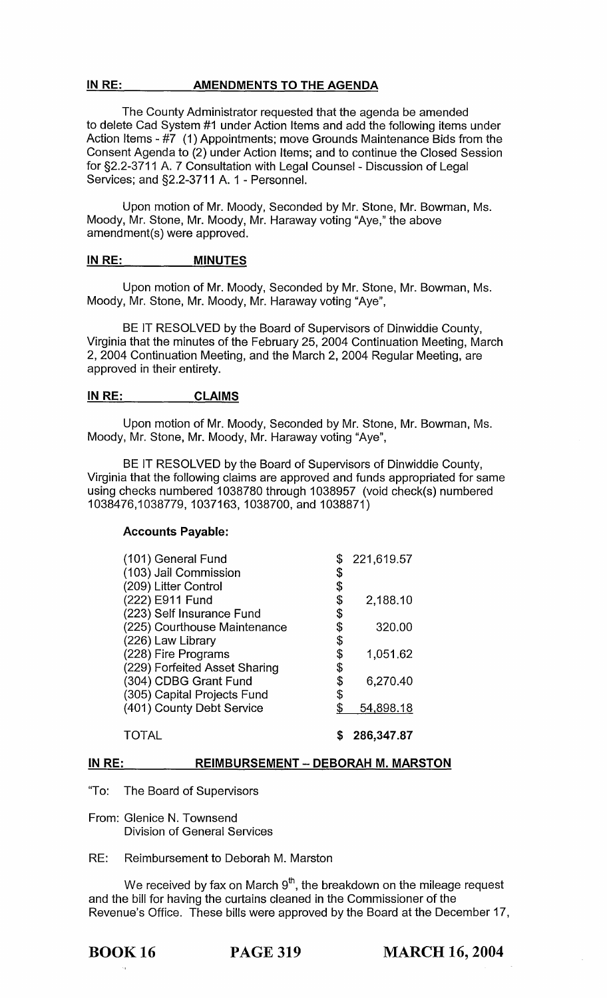#### IN RE: AMENDMENTS TO THE AGENDA

The County Administrator requested that the agenda be amended to delete Cad System #1 under Action Items and add the following items under Action Items - #7 (1) Appointments; move Grounds Maintenance Bids from the Consent Agenda to (2) under Action Items; and to continue the Closed Session for §2.2-3711 A. 7 Consultation with Legal Counsel - Discussion of Legal Services; and §2.2-3711 A. 1 - Personnel.

Upon motion of Mr. Moody, Seconded by Mr. Stone, Mr. Bowman, Ms. Moody, Mr. Stone, Mr. Moody, Mr. Haraway voting "Aye," the above amendment(s) were approved.

#### IN RE: MINUTES

Upon motion of Mr. Moody, Seconded by Mr. Stone, Mr. Bowman, Ms. Moody, Mr. Stone, Mr. Moody, Mr. Haraway voting "Aye",

BE IT RESOLVED by the Board of Supervisors of Dinwiddie County, Virginia that the minutes of the February 25, 2004 Continuation Meeting, March 2, 2004 Continuation Meeting, and the March 2, 2004 Regular Meeting, are approved in their entirety.

#### INRE: CLAIMS

Upon motion of Mr. Moody, Seconded by Mr. Stone, Mr. Bowman, Ms. Moody, Mr. Stone, Mr. Moody, Mr. Haraway voting "Aye",

BE IT RESOLVED by the Board of Supervisors of Dinwiddie County, Virginia that the following claims are approved and funds appropriated for same using checks numbered 1038780 through 1038957 (void check(s) numbered 1038476,1038779, 1037163, 1038700, and 1038871)

#### Accounts Payable:

| (101) General Fund            | 221,619.57      |
|-------------------------------|-----------------|
| (103) Jail Commission         | \$              |
| (209) Litter Control          | \$              |
| (222) E911 Fund               | \$<br>2,188.10  |
| (223) Self Insurance Fund     | \$              |
| (225) Courthouse Maintenance  | \$<br>320.00    |
| (226) Law Library             | \$              |
| (228) Fire Programs           | \$<br>1,051.62  |
| (229) Forfeited Asset Sharing | \$              |
| (304) CDBG Grant Fund         | \$<br>6,270.40  |
| (305) Capital Projects Fund   | \$              |
| (401) County Debt Service     | \$<br>54,898.18 |
| <b>TOTAL</b>                  | 286,347.87      |

## IN RE: REIMBURSEMENT - DEBORAH M. MARSTON

"To: The Board of Supervisors

From: Glenice N. Townsend Division of General Services

RE: Reimbursement to Deborah M. Marston

We received by fax on March  $9<sup>th</sup>$ , the breakdown on the mileage request and the bill for having the curtains cleaned in the Commissioner of the Revenue's Office. These bills were approved by the Board at the December 17,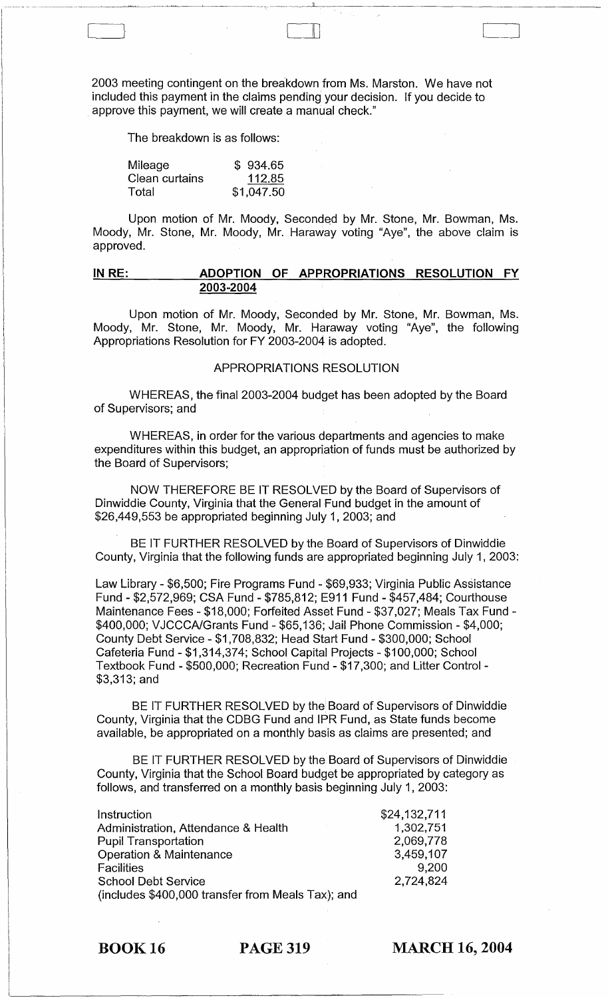2003 meeting contingent on the breakdown from Ms. Marston. We have not included this payment in the claims pending your decision. If you decide to approve this payment, we will create a manual check."

The breakdown is as follows:

 $\begin{bmatrix} 1 & 1 \\ 1 & 1 \end{bmatrix}$ 

| Mileage        | \$934.65   |
|----------------|------------|
| Clean curtains | 112.85     |
| Total          | \$1,047.50 |

Upon motion of Mr. Moody, Seconded by Mr. Stone, Mr. Bowman, Ms. Moody, Mr. Stone, Mr. Moody, Mr. Haraway voting "Aye", the above claim is approved.

#### **IN RE: ADOPTION OF APPROPRIATIONS RESOLUTION FY 2003-2004**

Upon motion of Mr. Moody, Seconded by Mr. Stone, Mr. Bowman, Ms. Moody, Mr. Stone, Mr. Moody, Mr. Haraway voting "Aye", the following Appropriations Resolution for FY 2003-2004 is adopted.

#### APPROPRIATIONS RESOLUTION

WHEREAS, the final 2003-2004 budget has been adopted by the Board of Supervisors; and

WHEREAS, in order for the various departments and agencies to make expenditures within this budget, an appropriation of funds must be authorized by the Board of Supervisors;

NOW THEREFORE BE IT RESOLVED by the Board of Supervisors of Dinwiddie County, Virginia that the General Fund budget in the amount of \$26,449,553 be appropriated beginning July 1, 2003; and

BE IT FURTHER RESOLVED by the Board of Supervisors of Dinwiddie County, Virginia that the following funds are appropriated beginning July 1, 2003:

Law Library - \$6,500; Fire Programs Fund - \$69,933; Virginia Public Assistance Fund - \$2,572,969; CSA Fund - \$785,812; E911 Fund - \$457,484; Courthouse Maintenance Fees - \$18,000; Forfeited Asset Fund - \$37,027; Meals Tax Fund - \$400,000; VJCCCAlGrants Fund - \$65,136; Jail Phone Commission - \$4,000; County Debt Service - \$1,708,832; Head Start Fund - \$300,000; School Cafeteria Fund - \$1,314,374; School Capital Projects - \$100,000; School Textbook Fund - \$500,000; Recreation Fund - \$17,300; and Litter Control - \$3,313; and

BE IT FURTHER RESOLVED by the Board of Supervisors of Dinwiddie County, Virginia that the CDBG Fund and IPR Fund, as State funds become available, be appropriated on a monthly basis as claims are presented; and

BE IT FURTHER RESOLVED by the Board of Supervisors of Dinwiddie County, Virginia that the School Board budget be appropriated by category as follows, and transferred on a monthly basis beginning July 1, 2003:

| Instruction                                       | \$24,132,711 |
|---------------------------------------------------|--------------|
| Administration, Attendance & Health               | 1,302,751    |
| <b>Pupil Transportation</b>                       | 2,069,778    |
| <b>Operation &amp; Maintenance</b>                | 3,459,107    |
| <b>Facilities</b>                                 | 9.200        |
| <b>School Debt Service</b>                        | 2,724,824    |
| (includes \$400,000 transfer from Meals Tax); and |              |

BOOK 16 PAGE 319

**MARCH 16, 2004**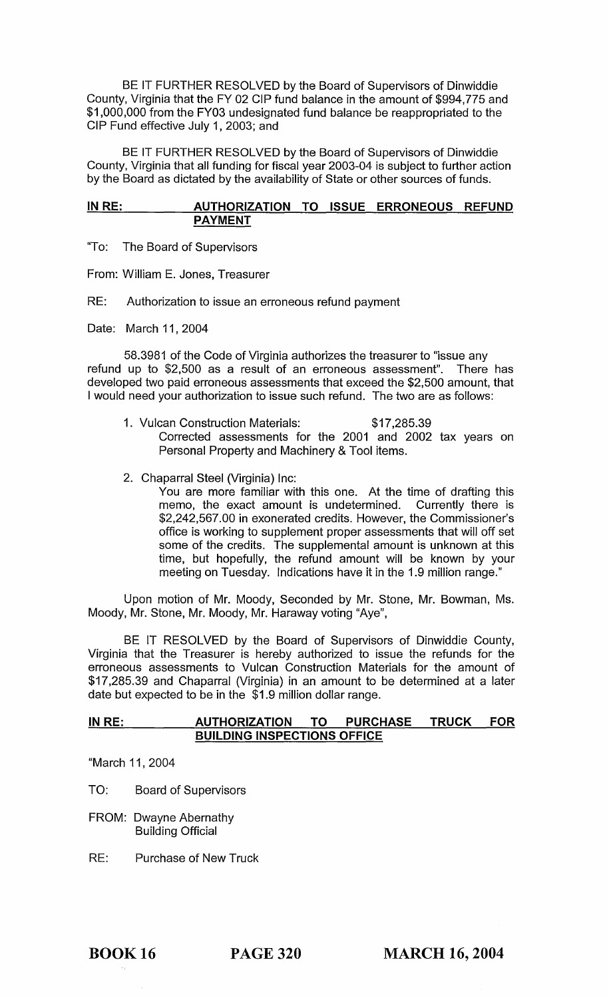BE IT FURTHER RESOLVED by the Board of Supervisors of Dinwiddie County, Virginia that the FY 02 CIP fund balance in the amount of \$994,775 and \$1,000,000 from the FY03 undesignated fund balance be reappropriated to the CIP Fund effective July 1,2003; and

BE IT FURTHER RESOLVED by the Board of Supervisors of Dinwiddie County, Virginia that all funding for fiscal year 2003-04 is subject to further action by the Board as dictated by the availability of State or other sources of funds.

#### **IN RE: AUTHORIZATION TO ISSUE ERRONEOUS REFUND PAYMENT**

"To: The Board of Supervisors

From: William E. Jones, Treasurer

RE: Authorization to issue an erroneous refund payment

Date: March 11, 2004

58.3981 of the Code of Virginia authorizes the treasurer to "issue any refund up to \$2,500 as a result of an erroneous assessment". There has developed two paid erroneous assessments that exceed the \$2,500 amount, that I would need your authorization to issue such refund. The two are as follows:

- 1. Vulcan Construction Materials: \$17,285.39 Corrected assessments for the 2001 and 2002 tax years on Personal Property and Machinery & Tool items.
- 2. Chaparral Steel (Virginia) Inc:

You are more familiar with this one. At the time of drafting this memo, the exact amount is undetermined. Currently there is \$2,242,567.00 in exonerated credits. However, the Commissioner's office is working to supplement proper assessments that will off set some of the credits. The supplemental amount is unknown at this time, but hopefully, the refund amount will be known by your meeting on Tuesday. Indications have it in the 1.9 million range."

Upon motion of Mr. Moody, Seconded by Mr. Stone, Mr. Bowman, Ms. Moody, Mr. Stone, Mr. Moody, Mr. Haraway voting "Aye",

BE IT RESOLVED by the Board of Supervisors of Dinwiddie County, Virginia that the Treasurer is hereby authorized to issue the refunds for the erroneous assessments to Vulcan Construction Materials for the amount of \$17,285.39 and Chaparral (Virginia) in an amount to be determined at a later date but expected to be in the \$1.9 million dollar range.

#### **IN RE: AUTHORIZATION TO PURCHASE TRUCK FOR BUILDING INSPECTIONS OFFICE**

"March 11, 2004

- TO: Board of Supervisors
- FROM: Dwayne Abernathy Building Official
- RE: Purchase of New Truck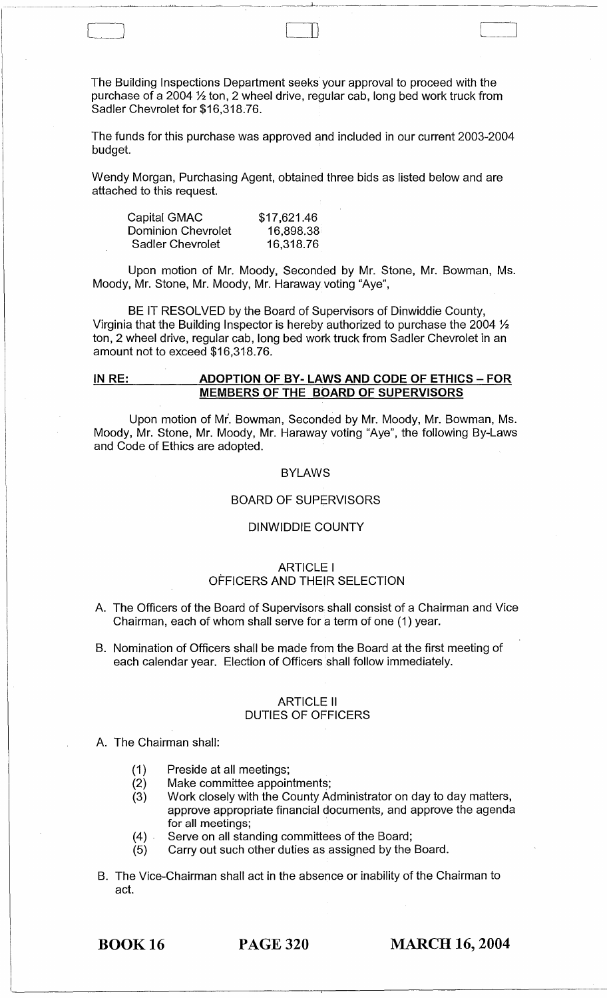The Building Inspections Department seeks your approval to proceed with the purchase of a 2004 % ton, 2 wheel drive, regular cab, long bed work truck from Sadler Chevrolet for \$16,318.76.

 $\Box$ 

The funds for this purchase was approved and included in our current 2003-2004 budget.

Wendy Morgan, Purchasing Agent, obtained three bids as listed below and are attached to this request.

| \$17,621.46 |
|-------------|
| 16,898.38   |
| 16,318.76   |
|             |

C-J III)

------ -----------~~-

Upon motion of Mr. Moody, Seconded by Mr. Stone, Mr. Bowman, Ms. Moody, Mr. Stone, Mr. Moody, Mr. Haraway voting "Aye",

BE IT RESOLVED by the Board of Supervisors of Dinwiddie County, Virginia that the Building Inspector is hereby authorized to purchase the 2004  $\frac{1}{2}$ ton, 2 wheel drive, regular cab, long bed work truck from Sadler Chevrolet in an amount not to exceed \$16,318.76.

#### **IN RE: ADOPTION OF BY· LAWS AND CODE OF ETHICS - FOR MEMBERS OF THE BOARD OF SUPERVISORS**

Upon motion of Mr. Bowman, Seconded by Mr. Moody, Mr. Bowman, Ms. Moody, Mr. Stone, Mr. Moody, Mr. Haraway voting "Aye", the following By-Laws and Code of Ethics are adopted.

#### BYLAWS

#### BOARD OF SUPERVISORS

#### DINWIDDIE COUNTY

#### ARTICLE I OFFICERS AND THEIR SELECTION

- A. The Officers of the Board of Supervisors shall consist of a Chairman and Vice Chairman, each of whom shall serve for a term of one (1) year.
- B. Nomination of Officers shall be made from the Board at the first meeting of each calendar year. Election of Officers shall follow immediately.

#### ARTICLE II DUTIES OF OFFICERS

# A. The Chairman shall:

- (1) Preside at all meetings;
- (2) Make committee appointments;
- (3) Work closely with the County Administrator on day to day matters, approve appropriate financial documents, and approve the agenda for all meetings;
- (4). Serve on all standing committees of the Board;
- (5) Carry out such other duties as assigned by the Board.
- B. The Vice-Chairman shall act in the absence or inability of the Chairman to act.

BOOK 16 PAGE 320 **MARCH 16, 2004**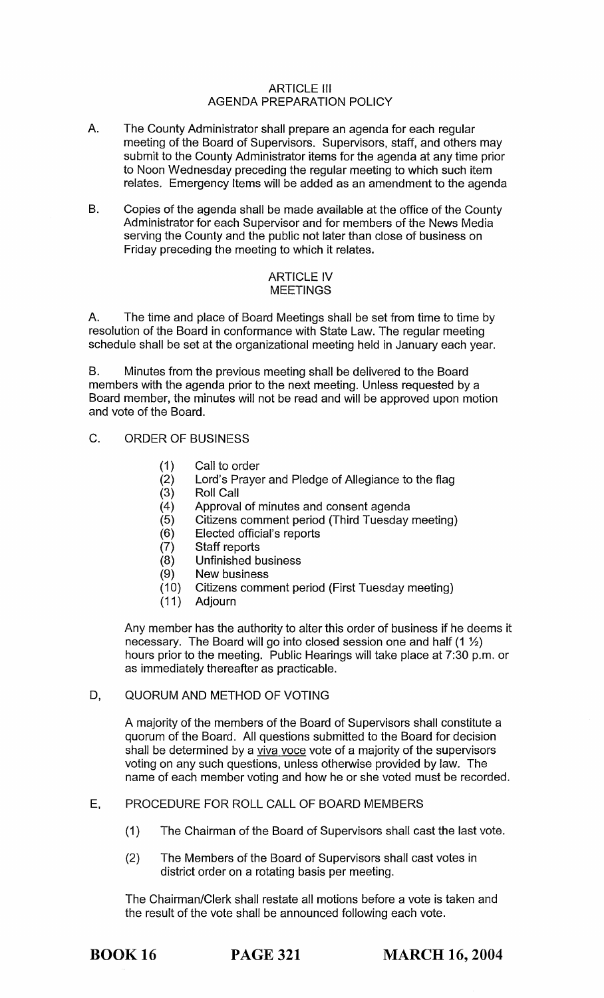#### ARTICLE III AGENDA PREPARATION POLICY

- A. The County Administrator shall prepare an agenda for each regular meeting of the Board of Supervisors. Supervisors, staff, and others may submit to the County Administrator items for the agenda at any time prior to Noon Wednesday preceding the regular meeting to which such item relates. Emergency Items will be added as an amendment to the agenda
- B. Copies of the agenda shall be made available at the office of the County Administrator for each Supervisor and for members of the News Media serving the County and the public not later than close of business on Friday preceding the meeting to which it relates.

#### ARTICLE IV MEETINGS

A. The time and place of Board Meetings shall be set from time to time by resolution of the Board in conformance with State Law. The regular meeting schedule shall be set at the organizational meeting held in January each year.

B. Minutes from the previous meeting shall be delivered to the Board members with the agenda prior to the next meeting. Unless requested by a Board member, the minutes will not be read and will be approved upon motion and vote of the Board.

- C. ORDER OF BUSINESS
	- (1) Call to order
	- (2) Lord's Prayer and Pledge of Allegiance to the flag<br>(3) Roll Call
	- Roll Call
	- (4) Approval of minutes and consent agenda
	- (5) Citizens comment period (Third Tuesday meeting)
	- (6) Elected official's reports
	- (7) Staff reports<br>(8) Unfinished b
	- Unfinished business
	-
	- (9) New business<br>(10) Citizens comm (10) Citizens comment period (First Tuesday meeting)
	- Adjourn

Any member has the authority to alter this order of business if he deems it necessary. The Board will go into closed session one and half  $(1 \frac{1}{2})$ hours prior to the meeting. Public Hearings will take place at 7:30 p.m. or as immediately thereafter as practicable.

#### D. QUORUM AND METHOD OF VOTING

A majority of the members of the Board of Supervisors shall constitute a quorum of the Board. All questions submitted to the Board for decision shall be determined by a viva voce vote of a majority of the supervisors voting on any such questions, unless otherwise provided by law. The name of each member voting and how he or she voted must be recorded.

# E, PROCEDURE FOR ROLL CALL OF BOARD MEMBERS

- (1) The Chairman of the Board of Supervisors shall cast the last vote.
- (2) The Members of the Board of Supervisors shall cast votes in district order on a rotating basis per meeting.

The Chairman/Clerk shall restate all motions before a vote is taken and the result of the vote shall be announced following each vote.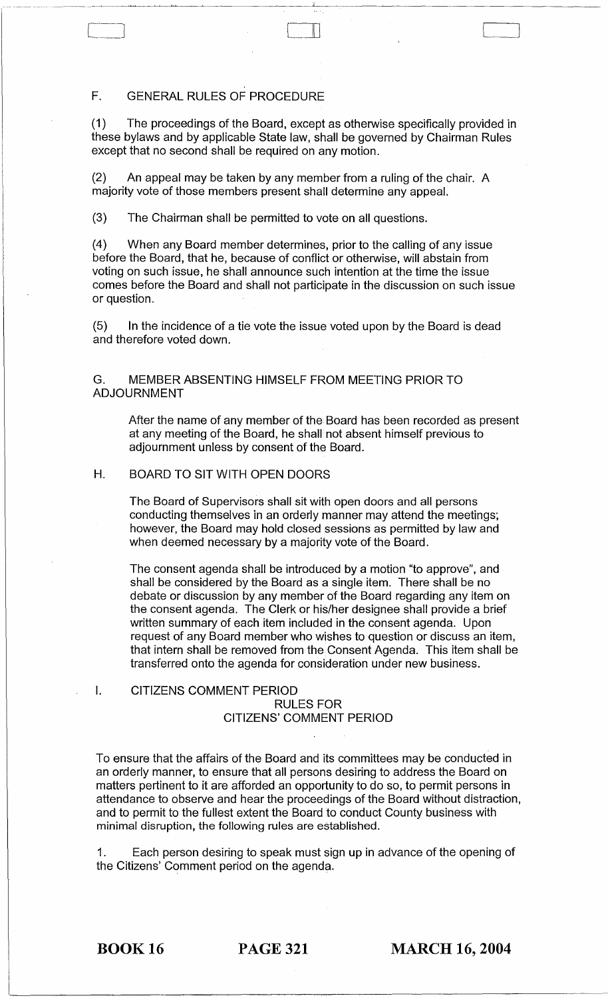# F. GENERAL RULES OF PROCEDURE

Cl III

(1) The proceedings of the Board, except as otherwise specifically provided in these bylaws and by applicable State law, shall be governed by Chairman Rules except that no second shall be required on any motion.

"I •

(2) An appeal may be taken by any member from a ruling of the chair. A majority vote of those members present shall determine any appeal.

(3) The Chairman shall be permitted to vote on all questions.

(4) When any Board member determines, prior to the calling of any issue before the Board, that he, because of conflict or otherwise, will abstain from voting on such issue, he shall announce such intention at the time the issue comes before the Board and shall not participate in the discussion on such issue or question.

(5) In the incidence of a tie vote the issue voted upon by the Board is dead and therefore voted down.

G. MEMBER ABSENTING HIMSELF FROM MEETING PRIOR TO ADJOURNMENT

After the name of any member of the Board has been recorded as present at any meeting of the Board, he shall not absent himself previous to adjournment unless by consent of the Board.

## H. BOARD TO SIT WITH OPEN DOORS

The Board of Supervisors shall sit with open doors and all persons conducting themselves in an orderly manner may attend the meetings; however, the Board may hold closed sessions as permitted by law and when deemed necessary by a majority vote of the Board.

The consent agenda shall be introduced by a motion "to approve", and shall be considered by the Board as a single item. There shall be no debate or discussion by any member of the Board regarding any item on the consent agenda. The Clerk or his/her designee shall provide a brief written summary of each item included in the consent agenda. Upon request of any Board member who wishes to question or discuss an item, that intern shall be removed from the Consent Agenda. This item shall be transferred onto the agenda for consideration under new business.

#### I. CITIZENS COMMENT PERIOD RULES FOR CITIZENS' COMMENT PERIOD

To ensure that the affairs of the Board and its committees may be conducted in an orderly manner, to ensure that all persons desiring to address the Board on matters pertinent to it are afforded an opportunity to do so, to permit persons in attendance to observe and hear the proceedings of the Board without distraction, and to permit to the fullest extent the Board to conduct County business with minimal disruption, the following rules are established.

1. Each person desiring to speak must sign up in advance of the opening of the Citizens' Comment period on the agenda.

BOOK 16 PAGE 321 **MARCH 16, 2004**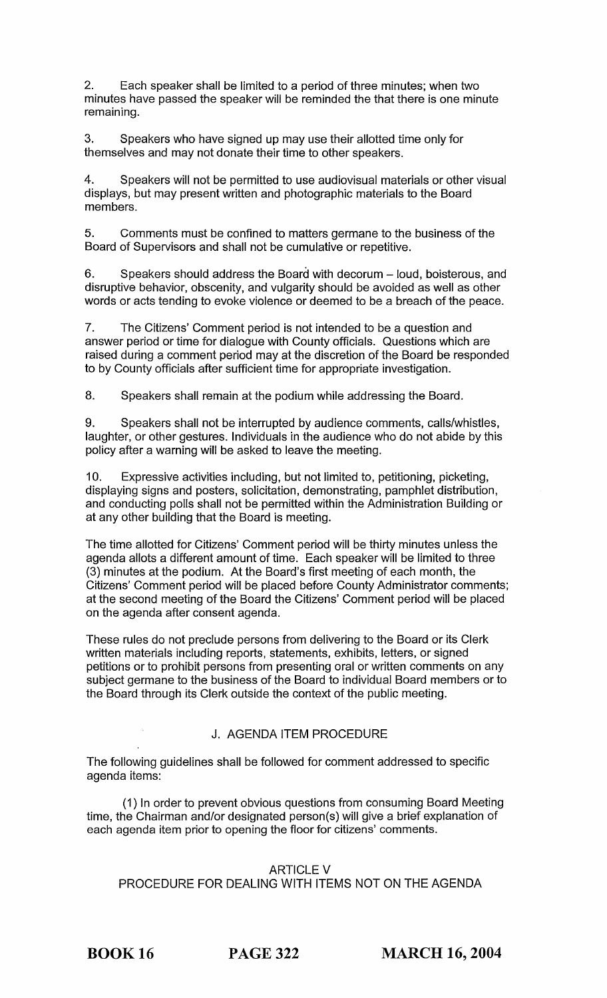2. Each speaker shall be limited to a period of three minutes; when two minutes have passed the speaker will be reminded the that there is one minute remaining.

3. Speakers who have signed up may use their allotted time only for themselves and may not donate their time to other speakers.

4. Speakers will not be permitted to use audiovisual materials or other visual displays, but may present written and photographic materials to the Board members.

5. Comments must be confined to matters germane to the business of the Board of Supervisors and shall not be cumulative or repetitive.

6. Speakers should address the Board with decorum – loud, boisterous, and disruptive behavior, obscenity, and vulgarity should be avoided as well as other words or acts tending to evoke violence or deemed to be a breach of the peace.

7. The Citizens' Comment period is not intended to be a question and answer period or time for dialogue with County officials. Questions which are raised during a comment period may at the discretion of the Board be responded to by County officials after sufficient time for appropriate investigation.

8. Speakers shall remain at the podium while addressing the Board.

9. Speakers shall not be interrupted by audience comments, calls/whistles, laughter, or other gestures. Individuals in the audience who do not abide by this policy after a warning will be asked to leave the meeting.

10. Expressive aGtivities including, but not limited to, petitioning, picketing, displaying signs and posters, solicitation, demonstrating, pamphlet distribution, and conducting polls shall not be permitted within the Administration Building or at any other building that the Board is meeting.

The time allotted for Citizens' Comment period will be thirty minutes unless the agenda allots a different amount of time. Each speaker will be limited to three (3) minutes at the podium. At the Board's first meeting of each month, the Citizens' Comment period will be placed before County Administrator comments; at the second meeting of the Board the Citizens' Comment period will be placed on the agenda after consent agenda.

These rules do not preclude persons from delivering to the Board or its Clerk written materials including reports, statements, exhibits, letters, or signed petitions or to prohibit persons from presenting oral or written comments on any subject germane to the business of the Board to individual Board members or to the Board through its Clerk outside the context of the public meeting.

#### J. AGENDA ITEM PROCEDURE

The following guidelines shall be followed for comment addressed to specific agenda items:

(1) In order to prevent obvious questions from consuming Board Meeting time, the Chairman and/or designated person(s) will give a brief explanation of each agenda item prior to opening the floor for citizens' comments.

#### ARTICLE V

## PROCEDURE FOR DEALING WITH ITEMS NOT ON THE AGENDA

BOOK 16 PAGE 322 **MARCH 16,2004**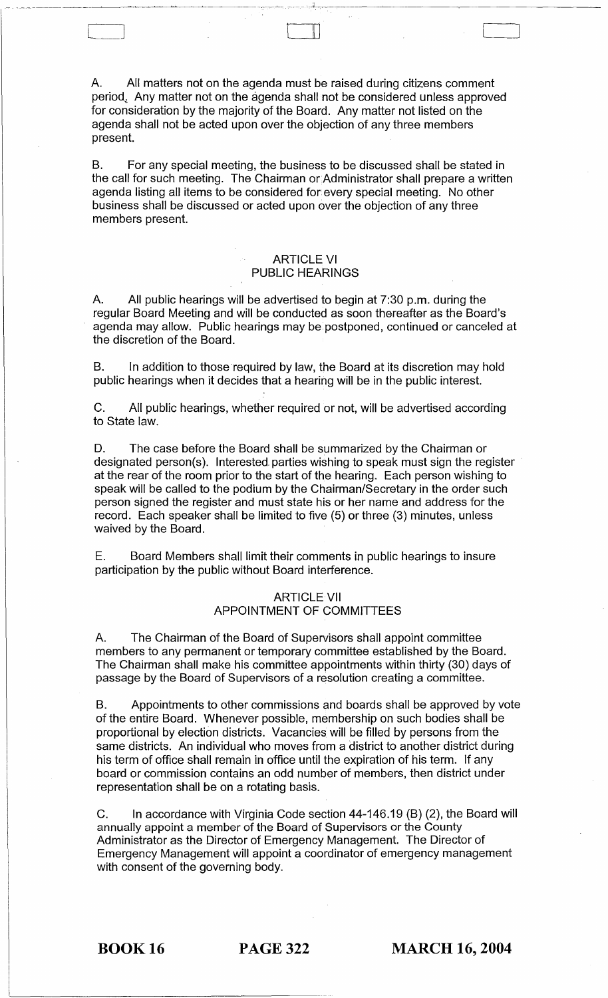A. All matters not on the agenda must be raised during citizens comment period. Any matter not on the agenda shall not be considered unless approved for consideration by the majority of the Board. Any matter not listed on the agenda shall not be acted upon over the objection of any three members present.

C=J 1\1

B. For any special meeting, the business to be discussed shall be stated in the call for such meeting. The Chairman or Administrator shall prepare a written agenda listing all items to be considered for every special meeting. No other business shall be discussed or acted upon over the objection of any three members present.

#### ARTICLE VI PUBLIC HEARINGS

A. All public hearings will be advertised to begin at 7:30 p.m. during the regular Board Meeting and will be conducted as soon thereafter as the Board's agenda may allow. Public hearings may be. postponed, continued or canceled at the discretion of the Board.

B. In addition to those required by law, the Board at its discretion may hold public hearings when it decides that a hearing will be in the public interest.

C. All public hearings, whether required or not, will be advertised according to State law.

D. The case before the Board shall be summarized by the Chairman or designated person(s). Interested. parties wishing to speak must sign the register at the rear of the room prior to the start of the hearing. Each person wishing to speak will be called to the podium by the Chairman/Secretary in the order such person signed the register and must state his or her name and address for the record. Each speaker shall be limited to five (5) or three (3) minutes, unless waived by the Board.

E. Board Members shall limit their comments in public hearings to insure participation by the public without Board interference.

#### **ARTICLE VII** APPOINTMENT OF COMMITTEES

A. The Chairman of the Board of Supervisors shall appoint committee members to any permanent or temporary committee established by the Board. The Chairman shall make his committee appointments within thirty (30) days of passage by the Board of Supervisors of a resolution creating a committee.

B. Appointments to other commissions and boards shall be approved by vote of the entire Board. Whenever possible, membership on such bodies shall be proportional by election districts. Vacancies will be filled by persons from the same districts. An individual who moves from a district to another district during his term of office shall remain in office until the expiration of his term. If any board or commission contains an odd number of members, then district under representation shall be on a rotating basis.

C. In accordance with Virginia Code section 44-146.19 (B) (2), the Board will annually appoint a member of the Board of Supervisors or the County Administrator as the Director of Emergency Management. The Director of Emergency Management will appoint a coordinator of emergency management with consent of the governing body.

BOOK 16 PAGE 322 MARCH 16, 2004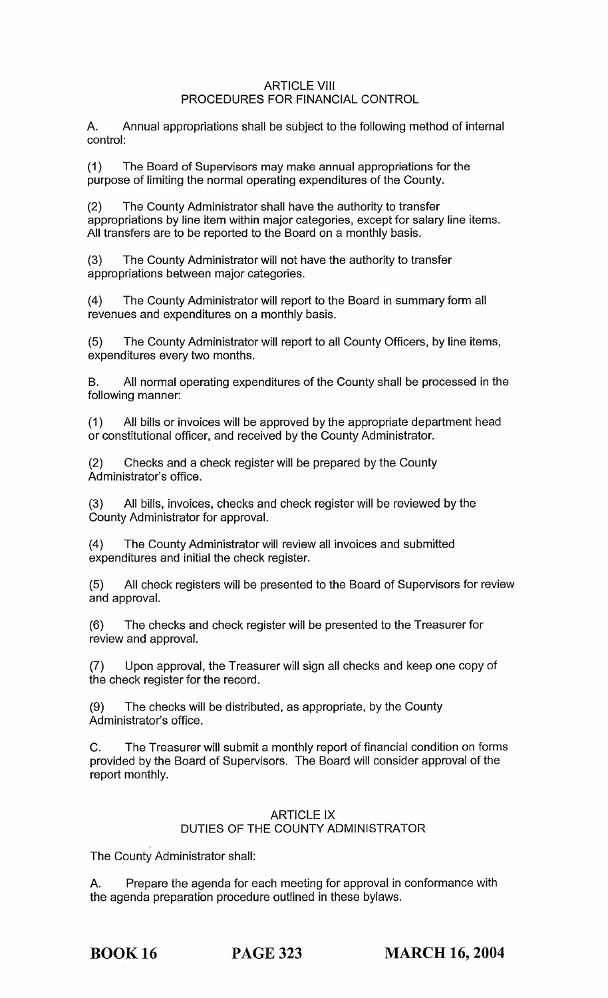#### ARTICLE VIII PROCEDURES FOR FINANCIAL CONTROL

A. Annual appropriations shall be subject to the following method of internal control:

(1) The Board of Supervisors may make annual appropriations for the purpose of limiting the normal operating expenditures of the County.

(2) The County Administrator shall have the authority to transfer appropriations by line item within major categories, except for salary line items. All transfers are to be reported to the Board on a monthly basis.

(3) The County Administrator will not have the authority to transfer appropriations between major categories.

(4) The County Administrator will report to the Board in summary form all revenues and expenditures on a monthly basis.

(5) The County Administrator will report to all County Officers, by line items, expenditures every two months.

B. All normal operating expenditures of the County shall be processed in the following manner:

(1) All bills or invoices will be approved by the appropriate department head or constitutional officer, and received by the County Administrator.

(2) Checks and a check register will be prepared by the County Administrator's office.

(3) All bills, invoices, checks and check register will be reviewed by the County Administrator for approval.

(4) The County Administrator will review all invoices and submitted expenditures and initial the check register.

(5) All check registers will be presented to the Board of Supervisors for review and approval.

(6) The checks and check register will be presented to the Treasurer for review and approval.

(7) Upon approval, the Treasurer will sign all checks and keep one copy of the check register for the record.

(9) The checks will be distributed, as appropriate, by the County Administrator's office.

C. The Treasurer will submit a monthly report of financial condition on forms provided by the Board of Supervisors. The Board will consider approval of the report monthly.

#### ARTICLE IX DUTIES OF THE COUNTY ADMINISTRATOR

The County Administrator shall:

A. Prepare the agenda for each meeting for approval in conformance with the agenda preparation procedure outlined in these bylaws.

BOOK 16 PAGE 323 **MARCH 16, 2004**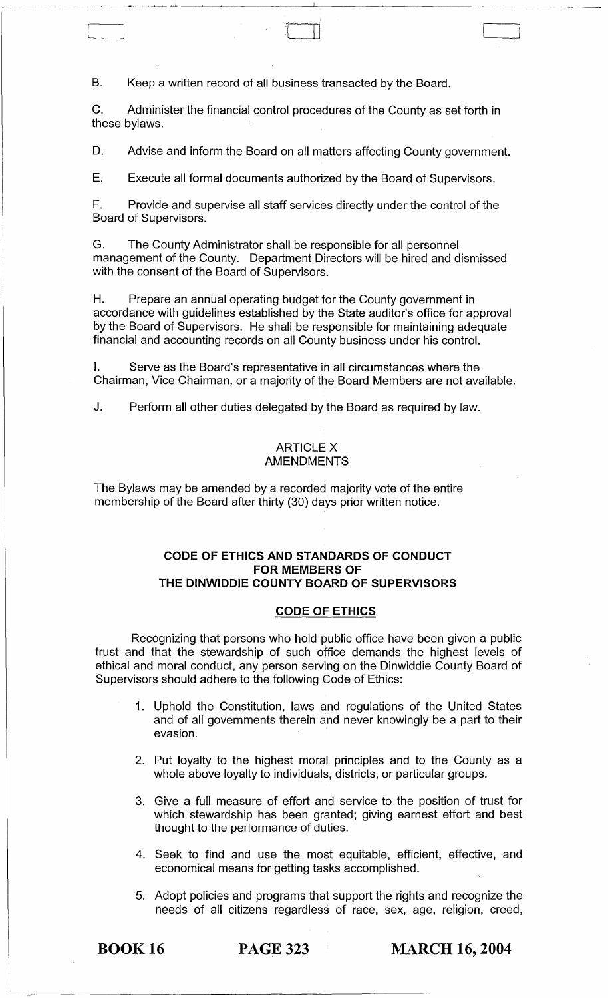B. Keep a written record of all business transacted by the Board.

C. Administer the financial control procedures of the County as set forth in these bylaws.

D. Advise and inform the Board on all matters affecting County government.

E. Execute all formal documents authorized by the Board of Supervisors.

F. Provide and supervise all staff services directly under the control of the Board of Supervisors.

G. The County Administrator shall be responsible for all personnel management of the County. Department Directors will be hired and dismissed with the consent of the Board of Supervisors.

H. Prepare an annual operating budget for the County government in accordance with guidelines established by the State auditor's office for approval by the Board of Supervisors. He shall be responsible for maintaining adequate financial and accounting records on all County business under his control.

I. Serve as the Board's representative in all circumstances where the Chairman, Vice Chairman, or a majority of the Board Members are not available.

J. Perform all other duties delegated by the Board as required by law.

#### ARTICLE X AMENDMENTS

The Bylaws may be amended by a recorded majority vote of the entire membership of the Board after thirty (30) days prior written notice.

#### **CODE OF ETHICS AND STANDARDS OF CONDUCT FOR MEMBERS OF THE DINWIDDIE COUNTY BOARD OF SUPERVISORS**

#### **CODE OF ETHICS**

Recognizing that persons who hold public office have been given a public trust and that the stewardship of such office demands the highest levels of ethical and moral conduct, any person serving on the Dinwiddie County Board of Supervisors should adhere to the following Code of Ethics:

- 1. Uphold the Constitution, laws and regulations of the United States and of all governments therein and never knowingly be a part to their evasion.
- 2. Put loyalty to the highest moral principles and to the County as a whole above loyalty to individuals, districts, or particular groups.
- 3. Give a full measure of effort and service to the position of trust for which stewardship has been granted; giving earnest effort and best thought to the performance of duties.
- 4. Seek to find and use the most equitable, efficient, effective, and economical means for getting tasks accomplished.
- 5. Adopt policies and programs that support the rights and recognize the needs of all citizens regardless of race, sex, age, religion, creed,

**BOOK 16 PAGE 323 MARCH 16, 2004**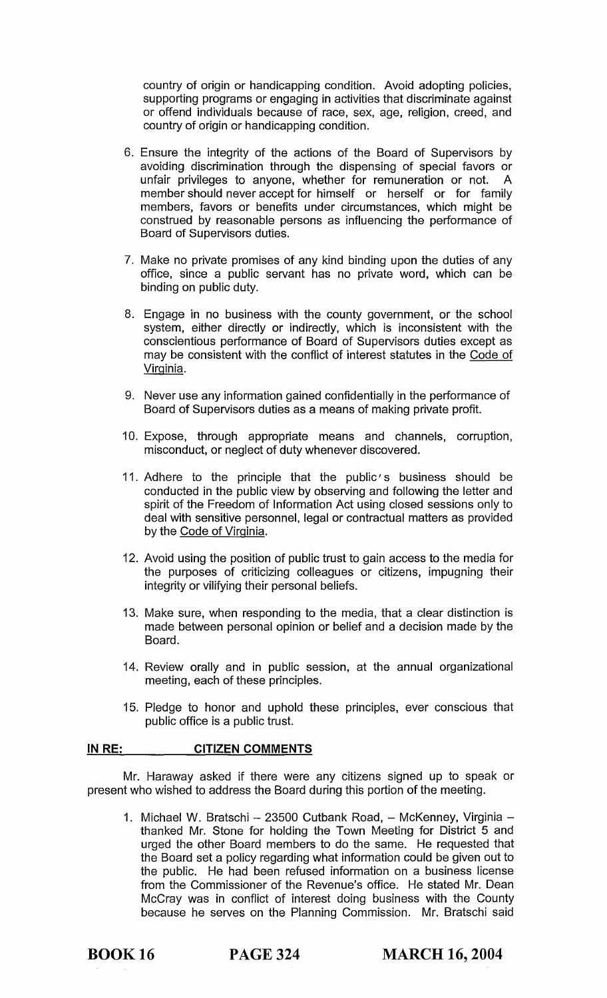country of origin or handicapping condition. Avoid adopting policies, supporting programs or engaging in activities that discriminate against or offend individuals because of race, sex, age, religion, creed, and country of origin or handicapping condition.

- 6. Ensure the integrity of the actions of the Board of Supervisors by avoiding discrimination through the dispensing of special favors or unfair privileges to anyone, whether for remuneration or not. A member should never accept for himself or herself or for family members, favors or benefits under circumstances, which might be construed by reasonable persons as influencing the performance of Board of Supervisors duties.
- 7. Make no private promises of any kind binding upon the duties of any office, since a public servant has no private word, which can be binding on public duty.
- 8. Engage in no business with the county government, or the school system, either directly or indirectly, which is inconsistent with the conscientious performance of Board of Supervisors duties except as may be consistent with the conflict of interest statutes in the Code of Virginia.
- 9. Never use any information gained confidentially in the performance of Board of Supervisors duties as a means of making private profit.
- 10. Expose, through appropriate means and channels, corruption, misconduct, or neglect of duty whenever discovered.
- 11. Adhere to the principle that the public's business should be conducted in the public view by observing and following the letter and spirit of the Freedom of Information Act using closed sessions only to deal with sensitive personnel, legal or contractual matters as provided by the Code of Virginia.
- 12. Avoid using the position of public trust to gain access to the media for the purposes of criticizing colleagues or citizens, impugning their integrity or vilifying their personal beliefs.
- 13. Make sure, when responding to the media, that a clear distinction is made between personal opinion or belief and a decision made by the Board.
- 14. Review orally and in public session, at the annual organizational meeting, each of these principles.
- 15. Pledge to honor and uphold these principles, ever conscious that public office is a public trust.

#### **INRE: CITIZEN COMMENTS**

Mr. Haraway asked if there were any citizens signed up to speak or present who wished to address the Board during this portion of the meeting.

1. Michael W. Bratschi - 23500 Cutbank Road, - McKenney, Virginia thanked Mr. Stone for holding the Town Meeting for District 5 and urged the other Board members to do the same. He requested that the Board set a policy regarding what information could be given out to the public. He had been refused information on a business license from the Commissioner of the Revenue's office. He stated Mr. Dean McCray was in conflict of interest doing business with the County because he serves on the Planning Commission. Mr. Bratschi said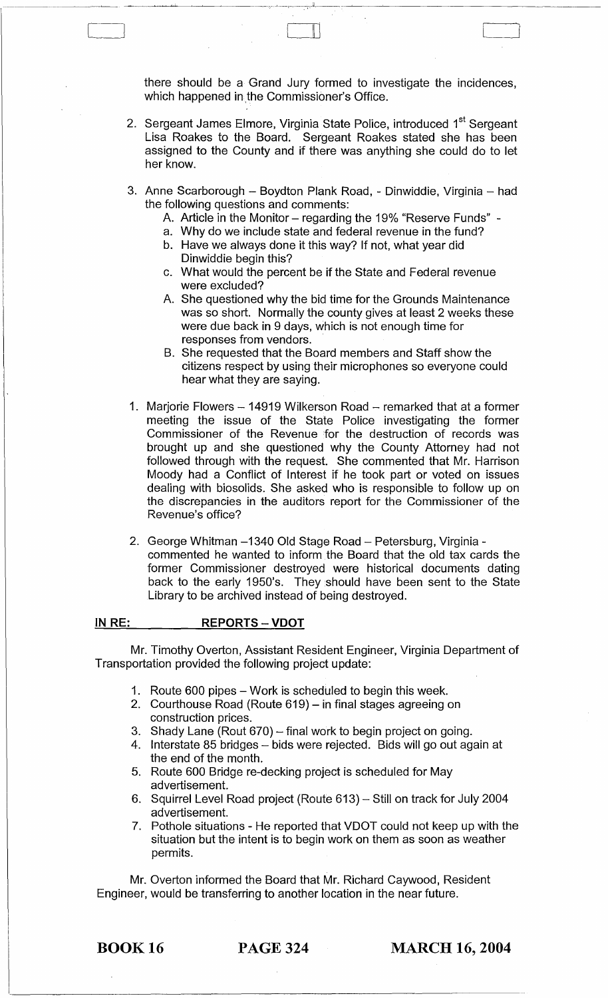there should be a Grand Jury formed to investigate the incidences, which happened in the Commissioner's Office.

\_\_\_\_\_\_\_\_\_\_\_\_\_\_ ~~~\_. ~,~~...\_..w, ;~~~ \_\_\_ \_:-.--'--:-----.,-.d,-.--~-~---------------

 $\begin{bmatrix} 1 & 1 & 1 \\ 1 & 1 & 1 \end{bmatrix}$ 

- 2. Sergeant James Elmore, Virginia State Police, introduced 1<sup>st</sup> Sergeant Lisa Roakes to the Board. Sergeant Roakes stated she has been assigned to the County and if there was anything she could do to let her know.
- 3. Anne Scarborough Boydton Plank Road, Dinwiddie, Virginia had the following questions and comments:
	- A. Article in the Monitor regarding the 19% "Reserve Funds" -
	- a. Why do we include state and federal revenue in the fund?
	- b. Have we always done it this way? If not, what year did Dinwiddie begin this?
	- c. What would the percent be if the State and Federal revenue were excluded?
	- A. She questioned why the bid time for the Grounds Maintenance was so short. Normally the county gives at least 2 weeks these were due back in 9 days, which is not enough time for responses from vendors.
	- B. She requested that the Board members and Staff show the citizens respect by using their microphones so everyone could hear what they are saying.
- 1. Marjorie Flowers 14919 Wilkerson Road remarked that at a former meeting the issue of the State Police investigating the former Commissioner of the Revenue for the destruction of records was brought up and she questioned why the County Attorney had not followed through with the request. She commented that Mr. Harrison Moody had a Conflict of Interest if he took part or voted on issues dealing with biosolids. She asked who is responsible to follow up on the discrepancies in the auditors report for the Commissioner of the Revenue's office?
- 2. George Whitman -1340 Old Stage Road Petersburg, Virginia commented he wanted to inform the Board that the old tax cards the former Commissioner destroyed were historical documents dating back to the early 1950's. They should have been sent to the State Library to be archived instead of being destroyed.

#### IN RE: REPORTS - VDOT

Mr. Timothy Overton, Assistant Resident Engineer, Virginia Department of Transportation provided the following project update:

- 1. Route 600 pipes Work is scheduled to begin this week.
- 2. Courthouse Road (Route 619) in final stages agreeing on construction prices.
- 3. Shady Lane (Rout 670) final work to begin project on going.
- 4. Interstate 85 bridges bids were rejected. Bids will go out again at the end of the month.
- 5. Route 600 Bridge re-decking project is scheduled for May advertisement.
- 6. Squirrel Level Road project (Route 613) Still on track for July 2004 advertisement.
- 7. Pothole situations He reported that VDOT could not keep up with the situation but the intent is to begin work on them as soon as weather permits.

Mr. Overton informed the Board that Mr. Richard Caywood, Resident Engineer, would be transferring to another location in the near future.

BOOK 16 PAGE 324 MARCH 16, 2004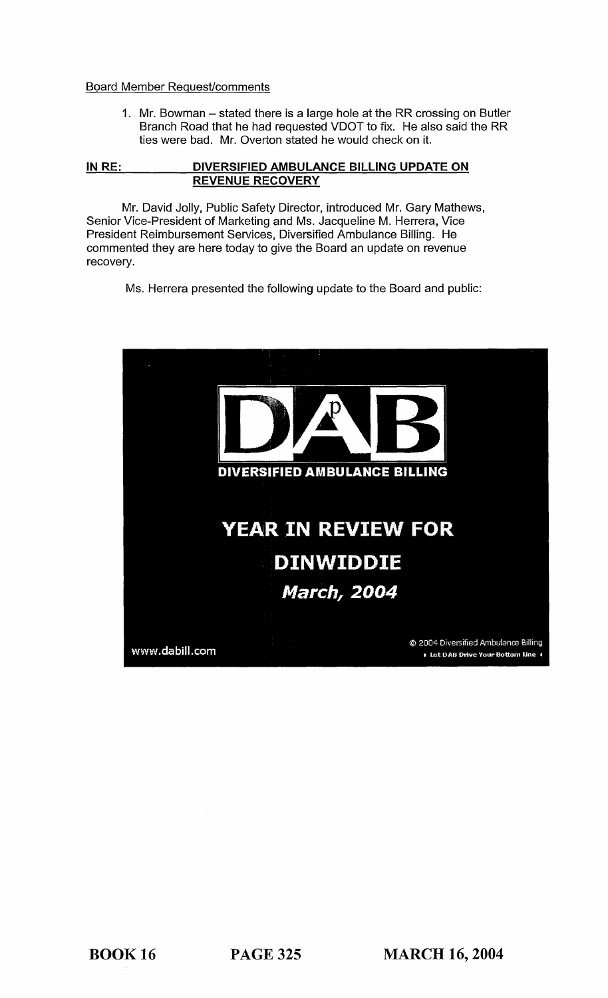#### Board Member Request/comments

1. Mr. Bowman - stated there is a large hole at the RR crossing on Butler Branch Road that he had requested VDOT to fix. He also said the RR ties were bad. Mr. Overton stated he would check on it.

#### **IN RE: DIVERSIFIED AMBULANCE BILLING UPDATE ON REVENUE RECOVERY**

Mr. David Jolly, Public Safety Director, introduced Mr. Gary Mathews, Senior Vice-President of Marketing and Ms. Jacqueline M. Herrera, Vice President Reimbursement Services, Diversified Ambulance Billing. He commented they are here today to give the Board an update on revenue recovery.

Ms. Herrera presented the following update to the Board and public:

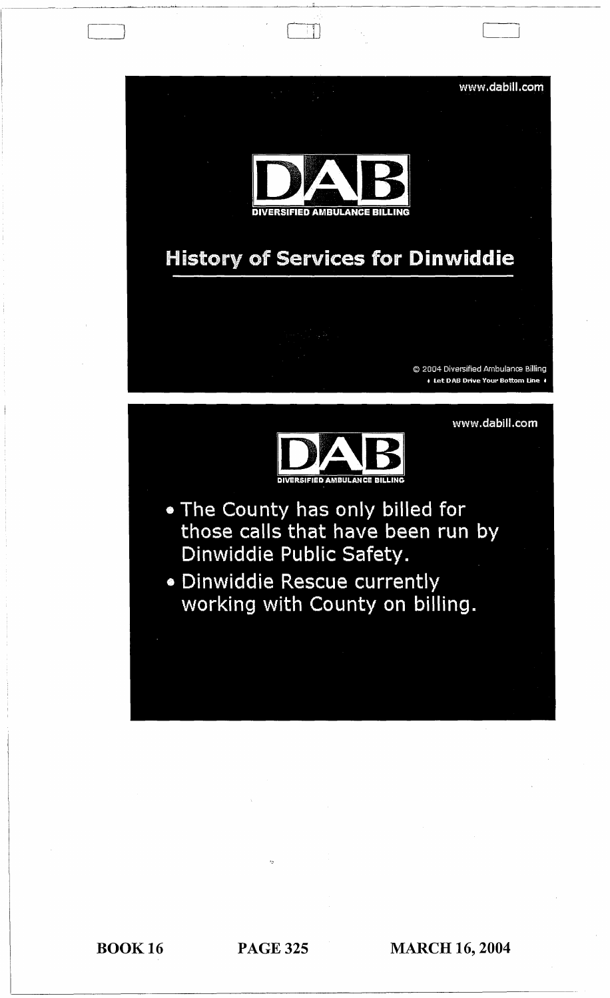

"

BOOK 16 PAGE 325 **MARCH 16, 2004**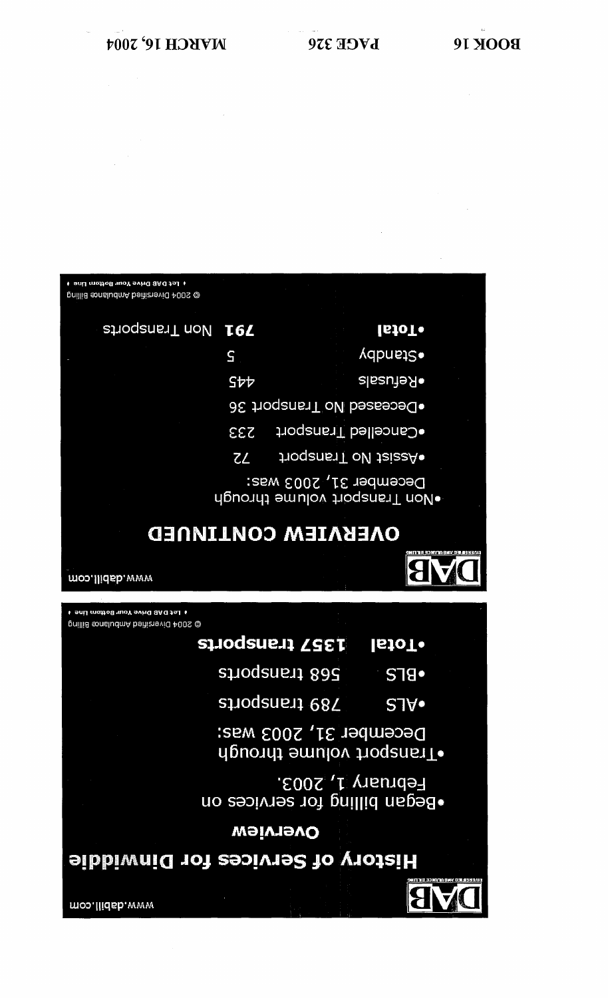

| <b>291 Non Transports</b> |                | lstoT•                                                  |  |
|---------------------------|----------------|---------------------------------------------------------|--|
|                           | S              | vdbnste                                                 |  |
|                           | Stt            | elssu <del>]</del> eЯ                                   |  |
|                           |                | ●Deceased No Transport 36                               |  |
|                           | <b>233</b>     | fonealled Transport                                     |  |
|                           | $Z\mathcal{L}$ | fino Transport                                          |  |
|                           |                | December 31, 2003 was:<br>∙Non Transport volume through |  |
| ONEKNIEM CONLINNED        |                |                                                         |  |

I Let DAB Drive Your Bottom Line 1 @ 2004 Diversitied Ambulance Billing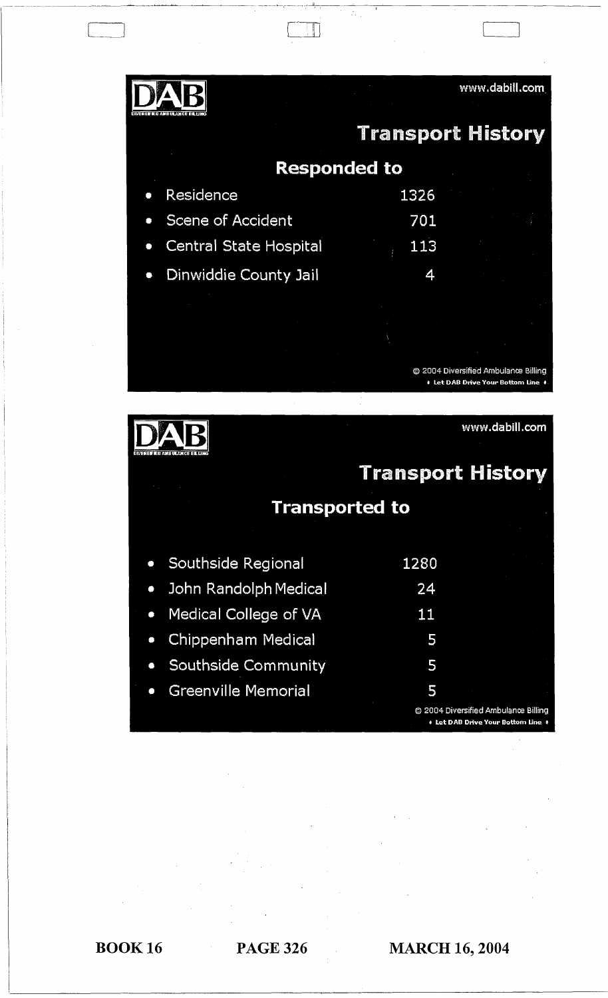| и дипир америка                         | www.dabill.com                                                             |  |  |
|-----------------------------------------|----------------------------------------------------------------------------|--|--|
|                                         | <b>Transport History</b>                                                   |  |  |
| <b>Responded to</b>                     |                                                                            |  |  |
| Residence                               | 1326                                                                       |  |  |
| Scene of Accident                       | 701                                                                        |  |  |
| <b>Central State Hospital</b>           | 113                                                                        |  |  |
| Dinwiddie County Jail                   | 4                                                                          |  |  |
|                                         |                                                                            |  |  |
|                                         |                                                                            |  |  |
|                                         |                                                                            |  |  |
|                                         | © 2004 Diversified Ambulance Billing<br>↓ Let DAB Drive Your Bottom Line ♦ |  |  |
|                                         |                                                                            |  |  |
|                                         |                                                                            |  |  |
|                                         | www.dabill.com                                                             |  |  |
| тат ливно мистании                      |                                                                            |  |  |
|                                         | <b>Transport History</b>                                                   |  |  |
|                                         | <b>Transported to</b>                                                      |  |  |
|                                         |                                                                            |  |  |
| Southside Regional<br>$\bullet$         | 1280                                                                       |  |  |
| John Randolph Medical<br>$\bullet$      | 24                                                                         |  |  |
| Medical College of VA<br>$\bullet$      | 11                                                                         |  |  |
| Chippenham Medical<br>$\bullet$         | 5                                                                          |  |  |
| Southside Community<br>$\bullet$        | 5                                                                          |  |  |
| <b>Greenville Memorial</b><br>$\bullet$ | 5                                                                          |  |  |

T

 $\begin{array}{|c|} \hline \hline \hline \hline \hline \end{array}$ 

BOOK 16 PAGE 326 **MARCH 16, 2004**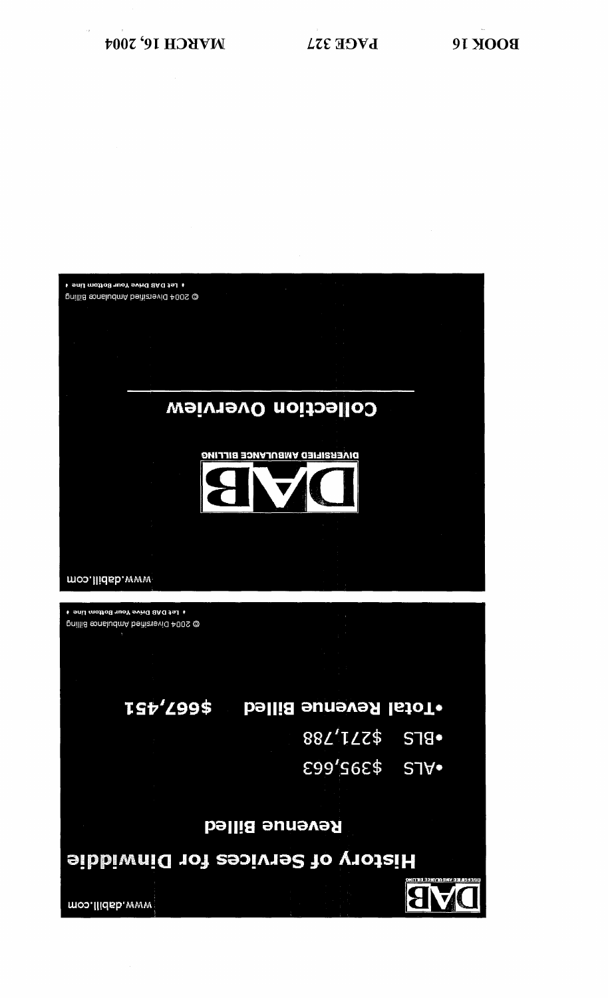

I Let DAB Drive Your Bottom Line I @ 2004 Diversited Ambulance Billing

THREE IS THE STAND OF SOUR OF SOUTH 100 TO 100 TO 100 TO 100 TO 100 TO 100 TO 100 TO 100 TO 100 TO 100 TO 100 TO 100 TO 100 TO 100 TO 100 TO 100 TO 100 TO 100 TO 100 TO 100 TO 100 TO 100 TO 100 TO 100 TO 100 TO 100 TO 100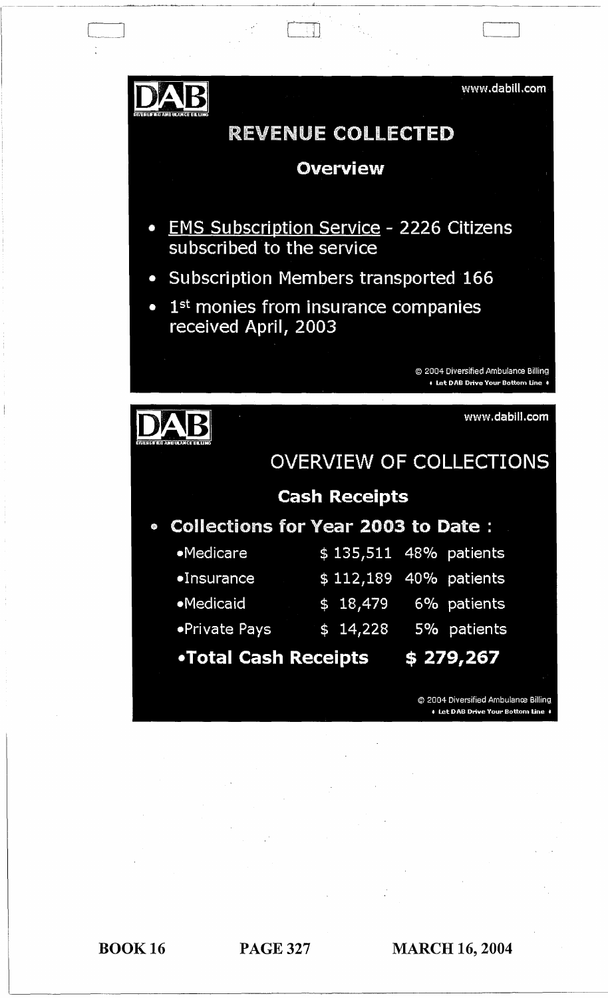

IJWEAfiIFED

 $\overline{\phantom{0}}$ 

# REVENUE COLLECTED

-----~ --~~~-~~---~----"-"----~--------~

# Overview

- EMS Subscription Service 2226 Citizens subscribed to the service
- Subscription Members transported 166
- $\bullet$  1<sup>st</sup> monies from insurance companies received April, 2003

© 2004 Diversified Ambulance Billing • Let DAB Drive Your Bottom Line •

www.dabill.com

# $DAB$ OVERVIEW OF COLLECTIONS

# Cash Receipts

• Collections for Year 2003 to Date :

| <b>Medicare</b>      | \$135,511 48% patients |             |
|----------------------|------------------------|-------------|
| $\bullet$ Insurance  | \$112,189 40% patients |             |
| •Medicaid            | \$18,479               | 6% patients |
| <b>•Private Pays</b> | \$14.228               | 5% patients |

•Total Cash Receipts \$ 279,267

© 2004 Diversified Ambulance Billing • Let DAB Drive Your Bottom Line ♦

BOOK 16 PAGE 327 MARCH 16, 2004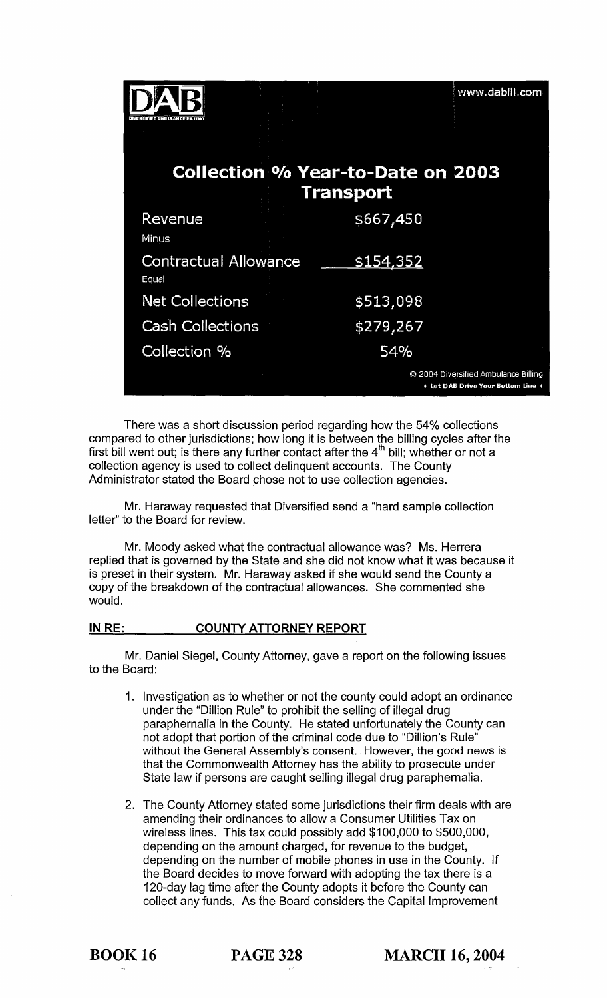| a terano di depot                     |                                                              | www.dabill.com                                                           |
|---------------------------------------|--------------------------------------------------------------|--------------------------------------------------------------------------|
|                                       | <b>Collection % Year-to-Date on 2003</b><br><b>Transport</b> |                                                                          |
| Revenue<br><b>Minus</b>               | \$667,450                                                    |                                                                          |
| <b>Contractual Allowance</b><br>Equal | \$154,352                                                    |                                                                          |
| <b>Net Collections</b>                | \$513,098                                                    |                                                                          |
| <b>Cash Collections</b>               | \$279,267                                                    |                                                                          |
| Collection %                          | 54%                                                          |                                                                          |
|                                       |                                                              | 2004 Diversified Ambulance Billing<br>↓ Let DAB Drive Your Bottom Line ↓ |

There was a short discussion period regarding how the 54% collections compared to other jurisdictions; how long it is between the billing cycles after the first bill went out; is there any further contact after the  $4<sup>th</sup>$  bill; whether or not a collection agency is used to collect delinquent accounts. The County Administrator stated the Board chose not to use collection agencies.

Mr. Haraway requested that Diversified send a "hard sample collection letter" to the Board for review.

Mr. Moody asked what the contractual allowance was? Ms. Herrera replied that is governed by the State and she did not know what it was because it is preset in their system. Mr. Haraway asked if she would send the County a copy of the breakdown of the contractual allowances. She commented she WOUld.

#### IN RE: COUNTY ATTORNEY REPORT

Mr. Daniel Siegel, County Attorney, gave a report on the following issues to the Board:

- 1. Investigation as to whether or not the county could adopt an ordinance under the "Dillion Rule" to prohibit the selling of illegal drug paraphernalia in the County. He stated unfortunately the County can not adopt that portion of the criminal code due to "Dillion's Rule" without the General Assembly's consent. However, the good news is that the Commonwealth Attorney has the ability to prosecute under State law if persons are caught selling illegal drug paraphernalia.
- 2. The County Attorney stated some jurisdictions their firm deals with are amending their ordinances to allow a Consumer Utilities Tax on wireless lines. This tax could possibly add \$100,000 to \$500,000, depending on the amount charged, for revenue to the budget, depending on the number of mobile phones in use in the County. If the Board decides to move forward with adopting the tax there is a 120-day lag time after the County adopts it before the County can collect any funds. As the Board considers the Capital Improvement

BOOK 16 PAGE 328 MARCH 16,2004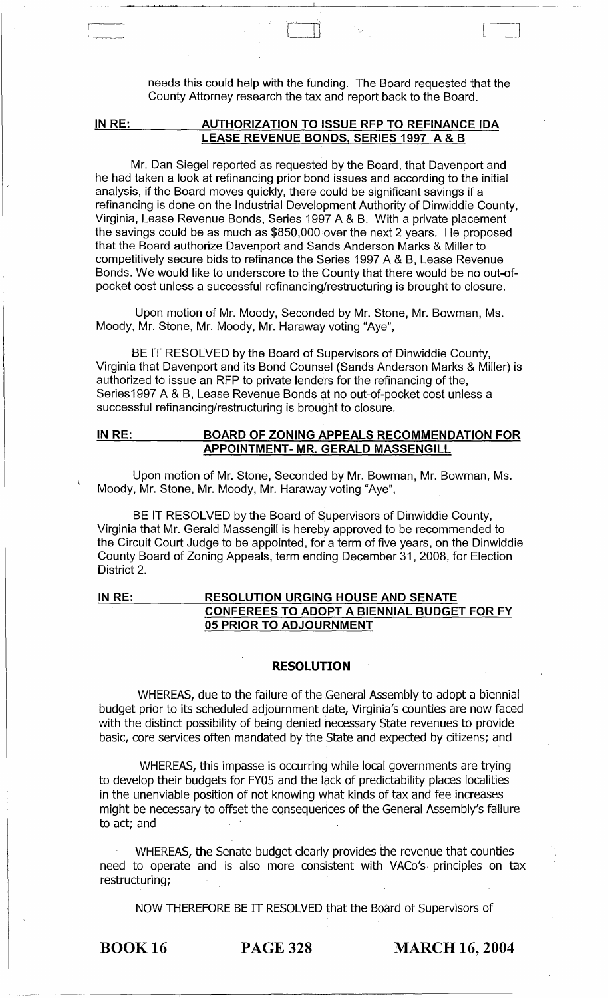needs this could help with the funding. The Board requested that the County Attorney research the tax and report back to the Board.

 $\int$ 

#### IN RE: AUTHORIZATION TO ISSUE RFP TO REFINANCE IDA LEASE REVENUE BONDS, SERIES 1997 A & B

Mr. Dan Siegel reported as requested by the Board, that Davenport and he had taken a look at refinancing prior bond issues and according to the initial analysis, if the Board moves quickly, there could be significant savings if a refinancing is done on the Industrial Development Authority of Dinwiddie County, Virginia, Lease Revenue Bonds, Series 1997 A & B. With a private placement the savings could be as much as \$850,000 over the next 2 years. He proposed that the Board authorize Davenport and Sands Anderson Marks & Miller to competitively secure bids to refinance the Series 1997 A & B, Lease Revenue Bonds. We would like to underscore to the County that there would be no out-ofpocket cost unless a successful refinancing/restructuring is brought to closure.

Upon motion of Mr. Moody, Seconded by Mr. Stone, Mr. Bowman, Ms. Moody, Mr. Stone, Mr. Moody, Mr. Haraway voting "Aye",

BE IT RESOLVED by the Board of Supervisors of Dinwiddie County, Virginia that Davenport and its Bond Counsel (Sands Anderson Marks & Miller) is authorized to issue an RFP to private lenders for the refinancing of the, Series1997 A & B, Lease Revenue Bonds at no out-of-pocket cost unless a successful refinancing/restructuring is brought to closure.

#### INRE: BOARD OF ZONING APPEALS RECOMMENDATION FOR APPOINTMENT- MR. GERALD MASSENGILL

Upon motion of Mr. Stone, Seconded by Mr. Bowman, Mr. Bowman, Ms. Moody, Mr. Stone, Mr. Moody, Mr. Haraway voting "Aye",

BE IT RESOLVED by the Board of Supervisors of Dinwiddie County, Virginia that Mr. Gerald Massengill is hereby approved to be recommended to the Circuit Court Judge to be appointed, for a term of five years, on the Dinwiddie County Board of Zoning Appeals, term ending December 31,2008, for Election District 2.

IN RE: RESOLUTION URGING HOUSE AND SENATE CONFEREES TO ADOPT A BIENNIAL BUDGET FOR FY 05 PRIOR TO ADJOURNMENT

#### RESOLUTION

WHEREAS, due to the failure of the General Assembly to adopt a biennial budget prior to its scheduled adjournment date, Virginia's counties are now faced with the distinct possibility of being denied necessary State revenues to provide basic, core services often mandated by the State and expected by citizens; and

WHEREAS, this impasse is occurring while local governments are trying to develop their budgets for FY05 and the lack of predictability places localities in the unenviable position of not knowing what kinds of tax and fee increases might be necessary to offset the consequences of the General Assembly's failure to act; and

WHEREAS, the Senate budget clearly provides the revenue that counties need to operate and is also more consistent with VACo's principles on tax restructuring;

NOW THEREFORE BE IT RESOLVED that the Board of Supervisors of

--~- --~~

 $\Box$ 

BOOK 16 PAGE 328 MARCH 16, 2004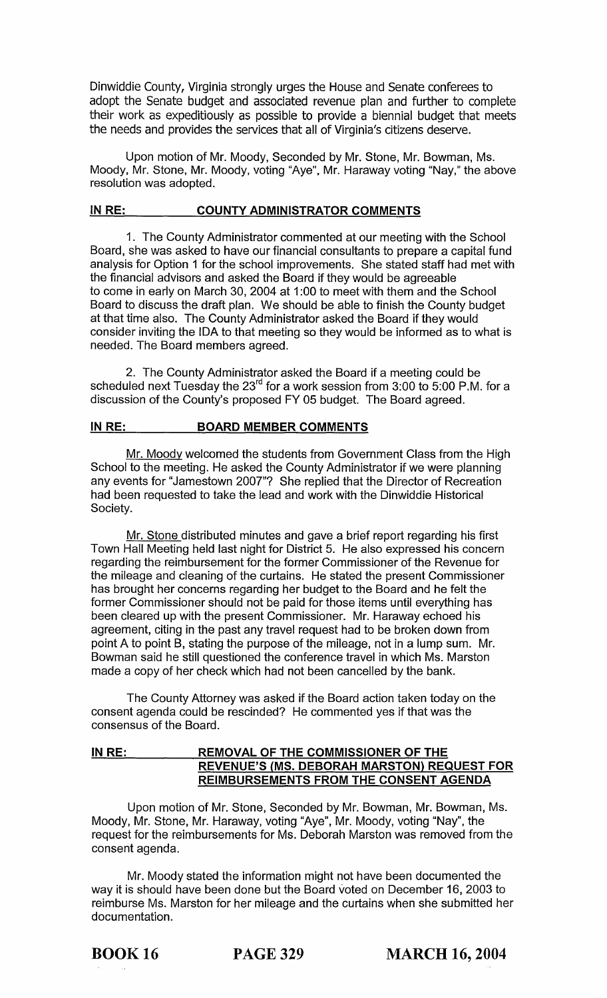Dinwiddie County, Virginia strongly urges the House and Senate conferees to adopt the Senate budget and associated revenue plan and further to complete their work as expeditiously as possible to provide a biennial budget that meets the needs and provides the services that all of Virginia's citizens deserve.

Upon motion of Mr. Moody, Seconded by Mr. Stone, Mr. Bowman, Ms. Moody, Mr. Stone, Mr. Moody, voting "Aye", Mr. Haraway voting "Nay," the above resolution was adopted.

#### **IN RE: COUNTY ADMINISTRATOR COMMENTS**

1. The County Administrator commented at our meeting with the School Board, she was asked to have our financial consultants to prepare a capital fund analysis for Option 1 for the school improvements. She stated staff had met with the financial advisors and asked the Board if they would be agreeable to come in early on March 30, 2004 at 1 :00 to meet with them and the School Board to discuss the draft plan. We should be able to finish the County budget at that time also. The County Administrator asked the Board if they would consider inviting the IDA to that meeting so they would be informed as to what is needed. The Board members agreed.

2. The County Administrator asked the Board if a meeting could be scheduled next Tuesday the 23<sup>rd</sup> for a work session from 3:00 to 5:00 P.M. for a discussion of the County's proposed FY 05 budget. The Board agreed.

#### **IN RE: BOARD MEMBER COMMENTS**

Mr. Moody welcomed the students from Government Class from the High School to the meeting. He asked the County Administrator if we were planning any events for "Jamestown 2007"? She replied that the Director of Recreation had been requested to take the lead and work with the Dinwiddie Historical Society.

Mr. Stone distributed minutes and gave a brief report regarding his first Town Hall Meeting held last night for District 5. He also expressed his concern regarding the reimbursement for the former Commissioner of the Revenue for the mileage and cleaning of the curtains. He stated the present Commissioner has brought her concerns regarding her budget to the Board and he felt the former Commissioner should not be paid for those items until everything has been cleared up with the present Commissioner. Mr. Haraway echoed his agreement, citing in the past any travel request had to be broken down from point A to point B, stating the purpose of the mileage, not in a lump sum. Mr. Bowman said he still questioned the conference travel in which Ms. Marston made a copy of her check which had not been cancelled by the bank.

The County Attorney was asked if the Board action taken today on the consent agenda could be rescinded? He commented yes if that was the consensus of the Board.

#### **IN RE: REMOVAL OF THE COMMISSIONER OF THE REVENUE'S (MS. DEBORAH MARSTON) REQUEST FOR REIMBURSEMENTS FROM THE CONSENT AGENDA**

Upon motion of Mr. Stone, Seconded by Mr. Bowman, Mr. Bowman, Ms. Moody, Mr. Stone, Mr. Haraway, voting "Aye", Mr. Moody, voting "Nay", the request for the reimbursements for Ms. Deborah Marston was removed from the consent agenda.

Mr. Moody stated the information might not have been documented the way it is should have been done but the Board voted on December 16, 2003 to reimburse Ms. Marston for her mileage and the curtains when she submitted her documentation.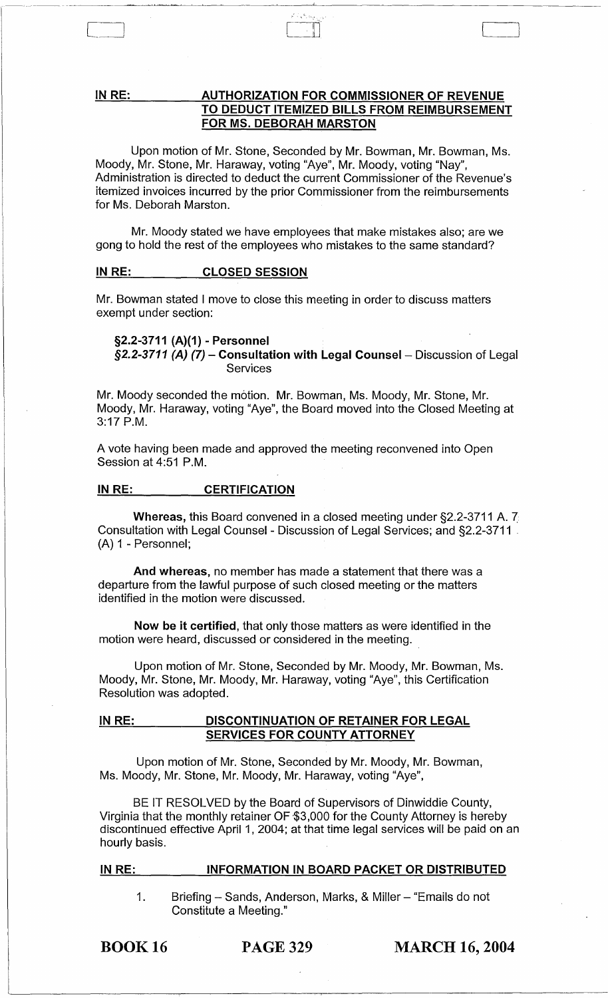#### IN RE: AUTHORIZATION FOR COMMISSIONER OF REVENUE TO DEDUCT ITEMIZED BILLS FROM REIMBURSEMENT FOR MS. DEBORAH MARSTON

Upon motion of Mr. Stone, Seconded by Mr. Bowman, Mr. Bowman, Ms. Moody, Mr. Stone, Mr. Haraway, voting "Aye", Mr. Moody, voting "Nay", Administration is directed to deduct the current Commissioner of the Revenue's itemized invoices incurred by the prior Commissioner from the reimbursements for Ms. Deborah Marston.

Mr. Moody stated we have employees that make mistakes also; are we gong to hold the rest of the employees who mistakes to the same standard?

#### IN RE: CLOSED SESSION

Mr. Bowman stated I move to close this meeting in order to discuss matters exempt under section:

#### §2.2-3711 (A)(1) - Personnel  $$2.2-3711$  (A) (7) - Consultation with Legal Counsel - Discussion of Legal **Services**

Mr. Moody seconded the motion. Mr. Bowman, Ms. Moody, Mr. Stone, Mr. Moody, Mr. Haraway, voting "Aye", the Board moved into the Closed Meeting at 3:17 P.M.

A vote having been made and approved the meeting reconvened into Open Session at 4:51 P.M.

#### IN RE: CERTIFICATION

Whereas, this Board convened in a closed meeting under §2.2-3711 A. 7. Consultation with Legal Counsel - Discussion of Legal Services; and §2.2-3711 . (A) 1 - Personnel;

And whereas, no member has made a statement that there was a departure from the lawful purpose of such closed meeting or the matters identified in the motion were discussed.

Now be it certified, that only those matters as were identified in the motion were heard, discussed or considered in the meeting.

Upon motion of Mr. Stone, Seconded by Mr. Moody, Mr. Bowman, Ms. Moody, Mr. Stone, Mr. Moody, Mr. Haraway, voting "Aye", this Certification Resolution was adopted.

#### IN RE: DISCONTINUATION OF RETAINER FOR LEGAL SERVICES FOR COUNTY ATTORNEY

Upon motion of Mr. Stone, Seconded by Mr. Moody, Mr. Bowman, Ms. Moody, Mr. Stone, Mr. Moody, Mr. Haraway, voting "Aye",

BE IT RESOLVED by the Board of Supervisors of Dinwiddie County, Virginia that the monthly retainer OF \$3,000 for the County Attorney is hereby discontinued effective April 1, 2004; at that time legal services will be paid on an hourly basis.

#### IN RE: INFORMATION IN BOARD PACKET OR DISTRIBUTED

1. Briefing - Sands, Anderson, Marks, & Miller - "Emails do not Constitute a Meeting."

BOOK 16

PAGE 329 MARCH 16, 2004